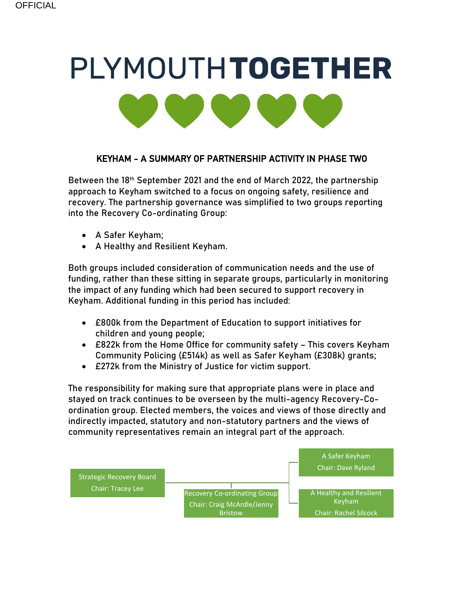# PLYMOUTHTOGETHER

# KEYHAM - A SUMMARY OF PARTNERSHIP ACTIVITY IN PHASE TWO

Between the 18th September 2021 and the end of March 2022, the partnership approach to Keyham switched to a focus on ongoing safety, resilience and recovery. The partnership governance was simplified to two groups reporting into the Recovery Co-ordinating Group:

- A Safer Keyham;
- A Healthy and Resilient Keyham.

Both groups included consideration of communication needs and the use of funding, rather than these sitting in separate groups, particularly in monitoring the impact of any funding which had been secured to support recovery in Keyham. Additional funding in this period has included:

- £800k from the Department of Education to support initiatives for children and young people;
- £822k from the Home Office for community safety This covers Keyham Community Policing (£514k) as well as Safer Keyham (£308k) grants;
- £272k from the Ministry of Justice for victim support.

The responsibility for making sure that appropriate plans were in place and stayed on track continues to be overseen by the multi-agency Recovery-Coordination group. Elected members, the voices and views of those directly and indirectly impacted, statutory and non-statutory partners and the views of community representatives remain an integral part of the approach.

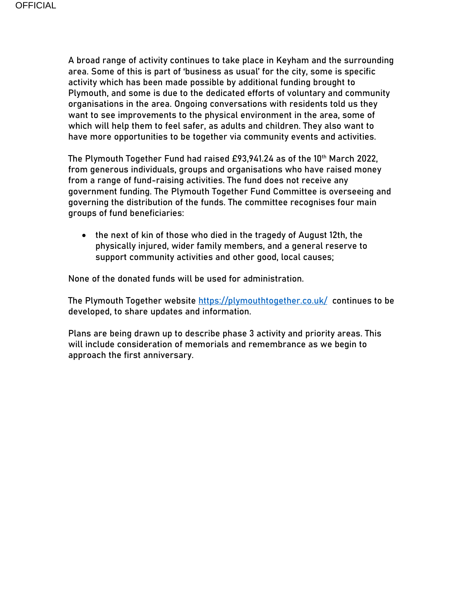A broad range of activity continues to take place in Keyham and the surrounding area. Some of this is part of 'business as usual' for the city, some is specific activity which has been made possible by additional funding brought to Plymouth, and some is due to the dedicated efforts of voluntary and community organisations in the area. Ongoing conversations with residents told us they want to see improvements to the physical environment in the area, some of which will help them to feel safer, as adults and children. They also want to have more opportunities to be together via community events and activities.

The Plymouth Together Fund had raised £93,941.24 as of the 10th March 2022, from generous individuals, groups and organisations who have raised money from a range of fund-raising activities. The fund does not receive any government funding. The Plymouth Together Fund Committee is overseeing and governing the distribution of the funds. The committee recognises four main groups of fund beneficiaries:

• the next of kin of those who died in the tragedy of August 12th, the physically injured, wider family members, and a general reserve to support community activities and other good, local causes;

None of the donated funds will be used for administration.

The Plymouth Together website<https://plymouthtogether.co.uk/>continues to be developed, to share updates and information.

Plans are being drawn up to describe phase 3 activity and priority areas. This will include consideration of memorials and remembrance as we begin to approach the first anniversary.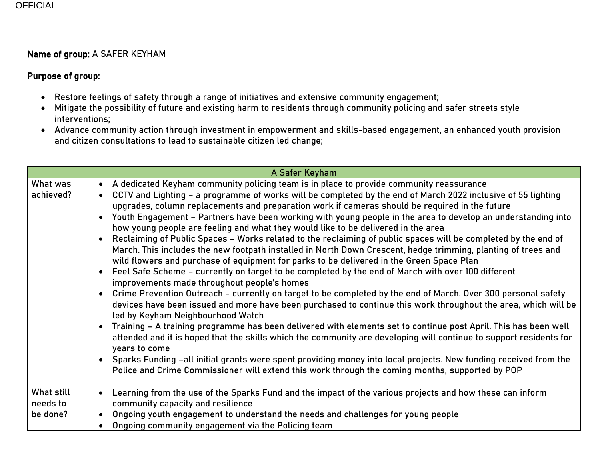### Name of group: A SAFER KEYHAM

### Purpose of group:

- Restore feelings of safety through a range of initiatives and extensive community engagement;
- Mitigate the possibility of future and existing harm to residents through community policing and safer streets style interventions;
- Advance community action through investment in empowerment and skills-based engagement, an enhanced youth provision and citizen consultations to lead to sustainable citizen led change;

| A Safer Keyham                     |                                                                                                                                                                                                                                                                                                                                                                                                                                                                                                                                                                                                                                                                                                                                                                                                                                                                                                                                                                                                                                                                                                                                                                                                                                                                                                                                                                                                                                                                                                                                                                                                                                                                                                                                                                                             |  |
|------------------------------------|---------------------------------------------------------------------------------------------------------------------------------------------------------------------------------------------------------------------------------------------------------------------------------------------------------------------------------------------------------------------------------------------------------------------------------------------------------------------------------------------------------------------------------------------------------------------------------------------------------------------------------------------------------------------------------------------------------------------------------------------------------------------------------------------------------------------------------------------------------------------------------------------------------------------------------------------------------------------------------------------------------------------------------------------------------------------------------------------------------------------------------------------------------------------------------------------------------------------------------------------------------------------------------------------------------------------------------------------------------------------------------------------------------------------------------------------------------------------------------------------------------------------------------------------------------------------------------------------------------------------------------------------------------------------------------------------------------------------------------------------------------------------------------------------|--|
| What was<br>achieved?              | • A dedicated Keyham community policing team is in place to provide community reassurance<br>CCTV and Lighting - a programme of works will be completed by the end of March 2022 inclusive of 55 lighting<br>$\bullet$<br>upgrades, column replacements and preparation work if cameras should be required in the future<br>Youth Engagement - Partners have been working with young people in the area to develop an understanding into<br>how young people are feeling and what they would like to be delivered in the area<br>Reclaiming of Public Spaces - Works related to the reclaiming of public spaces will be completed by the end of<br>March. This includes the new footpath installed in North Down Crescent, hedge trimming, planting of trees and<br>wild flowers and purchase of equipment for parks to be delivered in the Green Space Plan<br>Feel Safe Scheme - currently on target to be completed by the end of March with over 100 different<br>$\bullet$<br>improvements made throughout people's homes<br>• Crime Prevention Outreach - currently on target to be completed by the end of March. Over 300 personal safety<br>devices have been issued and more have been purchased to continue this work throughout the area, which will be<br>led by Keyham Neighbourhood Watch<br>Training - A training programme has been delivered with elements set to continue post April. This has been well<br>attended and it is hoped that the skills which the community are developing will continue to support residents for<br>years to come<br>• Sparks Funding -all initial grants were spent providing money into local projects. New funding received from the<br>Police and Crime Commissioner will extend this work through the coming months, supported by POP |  |
| What still<br>needs to<br>be done? | Learning from the use of the Sparks Fund and the impact of the various projects and how these can inform<br>$\bullet$<br>community capacity and resilience<br>Ongoing youth engagement to understand the needs and challenges for young people<br>Ongoing community engagement via the Policing team                                                                                                                                                                                                                                                                                                                                                                                                                                                                                                                                                                                                                                                                                                                                                                                                                                                                                                                                                                                                                                                                                                                                                                                                                                                                                                                                                                                                                                                                                        |  |